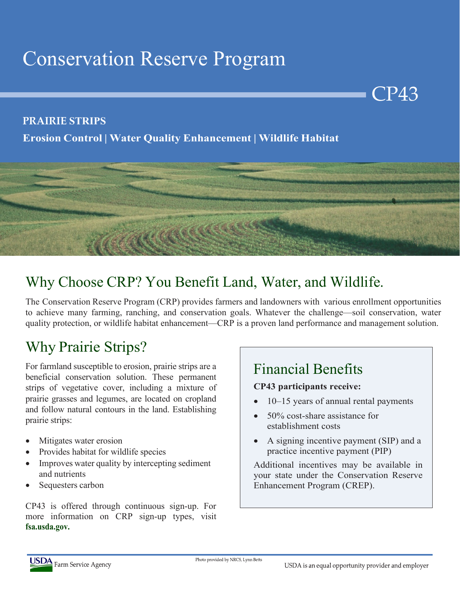# Conservation Reserve Program

#### **PRAIRIE STRIPS**

#### **Erosion Control | Water Quality Enhancement | Wildlife Habitat**



## Why Choose CRP? You Benefit Land, Water, and Wildlife.

The Conservation Reserve Program (CRP) provides farmers and landowners with various enrollment opportunities to achieve many farming, ranching, and conservation goals. Whatever the challenge—soil conservation, water quality protection, or wildlife habitat enhancement—CRP is a proven land performance and management solution.

## Why Prairie Strips?

For farmland susceptible to erosion, prairie strips are a beneficial conservation solution. These permanent strips of vegetative cover, including a mixture of prairie grasses and legumes, are located on cropland and follow natural contours in the land. Establishing prairie strips:

- Mitigates water erosion
- Provides habitat for wildlife species
- Improves water quality by intercepting sediment and nutrients
- Sequesters carbon

CP43 is offered through continuous sign-up. For more information on CRP sign-up types, visit **fsa.usda.gov.**

## Financial Benefits

#### **CP43 participants receive:**

• 10–15 years of annual rental payments

CP43

- 50% cost-share assistance for establishment costs
- A signing incentive payment (SIP) and a practice incentive payment (PIP)

Additional incentives may be available in your state under the Conservation Reserve Enhancement Program (CREP).



Photo provided by NRCS, Lynn Betts